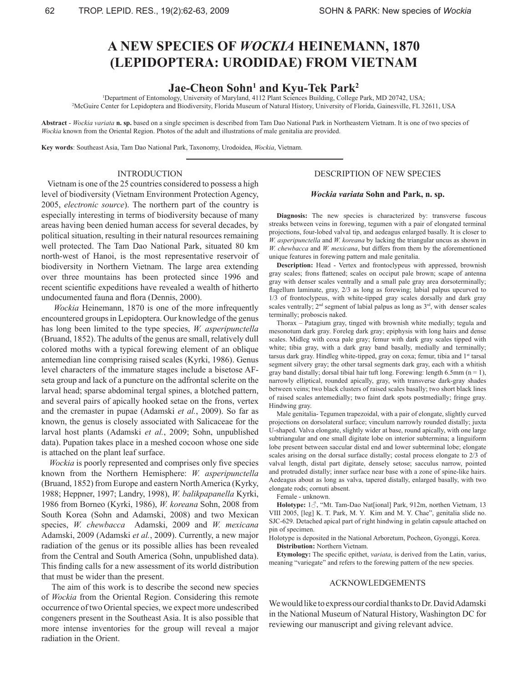# **A NEW SPECIES OF** *WOCKIA* **HEINEMANN, 1870 (LEPIDOPTERA: URODIDAE) FROM VIETNAM**

# **Jae-Cheon Sohn1 and Kyu-Tek Park2**

1 Department of Entomology, University of Maryland, 4112 Plant Sciences Building, College Park, MD 20742, USA; 2 <sup>2</sup>McGuire Center for Lepidoptera and Biodiversity, Florida Museum of Natural History, University of Florida, Gainesville, FL 32611, USA

**Abstract** - *Wockia variata* **n. sp.** based on a single specimen is described from Tam Dao National Park in Northeastern Vietnam. It is one of two species of *Wockia* known from the Oriental Region. Photos of the adult and illustrations of male genitalia are provided.

**Key words**: Southeast Asia, Tam Dao National Park, Taxonomy, Urodoidea, *Wockia*, Vietnam.

### INTRODUCTION

 Vietnam is one of the 25 countries considered to possess a high level of biodiversity (Vietnam Environment Protection Agency, 2005, *electronic source*). The northern part of the country is especially interesting in terms of biodiversity because of many areas having been denied human access for several decades, by political situation, resulting in their natural resources remaining well protected. The Tam Dao National Park, situated 80 km north-west of Hanoi, is the most representative reservoir of biodiversity in Northern Vietnam. The large area extending over three mountains has been protected since 1996 and recent scientific expeditions have revealed a wealth of hitherto undocumented fauna and flora (Dennis, 2000).

*Wockia* Heinemann, 1870 is one of the more infrequently encountered groups in Lepidoptera. Our knowledge of the genus has long been limited to the type species, *W. asperipunctella*  (Bruand, 1852). The adults of the genus are small, relatively dull colored moths with a typical forewing element of an oblique antemedian line comprising raised scales (Kyrki, 1986). Genus level characters of the immature stages include a bisetose AFseta group and lack of a puncture on the adfrontal sclerite on the larval head; sparse abdominal tergal spines, a blotched pattern, and several pairs of apically hooked setae on the frons, vertex and the cremaster in pupae (Adamski *et al.*, 2009). So far as known, the genus is closely associated with Salicaceae for the larval host plants (Adamski *et al.*, 2009; Sohn, unpublished data). Pupation takes place in a meshed cocoon whose one side is attached on the plant leaf surface.

 *Wockia* is poorly represented and comprises only five species known from the Northern Hemisphere: *W. asperipunctella* (Bruand, 1852) from Europe and eastern North America (Kyrky, 1988; Heppner, 1997; Landry, 1998), *W. balikpapanella* Kyrki, 1986 from Borneo (Kyrki, 1986), *W. koreana* Sohn, 2008 from South Korea (Sohn and Adamski, 2008) and two Mexican species, *W. chewbacca* Adamski, 2009 and *W. mexicana* Adamski, 2009 (Adamski *et al.*, 2009). Currently, a new major radiation of the genus or its possible allies has been revealed from the Central and South America (Sohn, unpublished data). This finding calls for a new assessment of its world distribution that must be wider than the present.

 The aim of this work is to describe the second new species of *Wockia* from the Oriental Region. Considering this remote occurrence of two Oriental species, we expect more undescribed congeners present in the Southeast Asia. It is also possible that more intense inventories for the group will reveal a major radiation in the Orient.

## DESCRIPTION OF NEW SPECIES

#### *Wockia variata* **Sohn and Park, n. sp.**

**Diagnosis:** The new species is characterized by: transverse fuscous streaks between veins in forewing, tegumen with a pair of elongated terminal projections, four-lobed valval tip, and aedeagus enlarged basally. It is closer to *W. asperipunctella* and *W. koreana* by lacking the triangular uncus as shown in *W. chewbacca* and *W. mexicana*, but differs from them by the aforementioned unique features in forewing pattern and male genitalia.

**Description:** Head - Vertex and frontoclypeus with appressed, brownish gray scales; frons flattened; scales on occiput pale brown; scape of antenna gray with denser scales ventrally and a small pale gray area dorsoterminally; flagellum laminate, gray, 2/3 as long as forewing; labial palpus upcurved to 1/3 of frontoclypeus, with white-tipped gray scales dorsally and dark gray scales ventrally;  $2<sup>nd</sup>$  segment of labial palpus as long as  $3<sup>rd</sup>$ , with denser scales terminally; proboscis naked.

Thorax – Patagium gray, tinged with brownish white medially; tegula and mesonotum dark gray. Foreleg dark gray; epiphysis with long hairs and dense scales. Midleg with coxa pale gray; femur with dark gray scales tipped with white; tibia gray, with a dark gray band basally, medially and terminally; tarsus dark gray. Hindleg white-tipped, gray on coxa; femur, tibia and 1<sup>st</sup> tarsal segment silvery gray; the other tarsal segments dark gray, each with a whitish gray band distally; dorsal tibial hair tuft long. Forewing: length  $6.5$ mm (n = 1), narrowly elliptical, rounded apically, gray, with transverse dark-gray shades between veins; two black clusters of raised scales basally; two short black lines of raised scales antemedially; two faint dark spots postmedially; fringe gray. Hindwing gray.

Male genitalia- Tegumen trapezoidal, with a pair of elongate, slightly curved projections on dorsolateral surface; vinculum narrowly rounded distally; juxta U-shaped. Valva elongate, slightly wider at base, round apically, with one large subtriangular and one small digitate lobe on interior subtermina; a linguiform lobe present between saccular distal end and lower subterminal lobe; elongate scales arising on the dorsal surface distally; costal process elongate to 2/3 of valval length, distal part digitate, densely setose; sacculus narrow, pointed and protruded distally; inner surface near base with a zone of spine-like hairs. Aedeagus about as long as valva, tapered distally, enlarged basally, with two elongate rods; cornuti absent.

Female - unknown.

**Holotype:** 1♂, "Mt. Tam-Dao Nat[ional] Park, 912m, northen Vietnam, 13 VIII 2005, [leg] K. T. Park, M. Y. Kim and M. Y. Chae", genitalia slide no. SJC-629. Detached apical part of right hindwing in gelatin capsule attached on pin of specimen.

Holotype is deposited in the National Arboretum, Pocheon, Gyonggi, Korea. **Distribution:** Northern Vietnam.

**Etymology:** The specific epithet, *variata*, is derived from the Latin, varius, meaning "variegate" and refers to the forewing pattern of the new species.

### ACKNOWLEDGEMENTS

We would like to express our cordial thanks to Dr. David Adamski in the National Museum of Natural History, Washington DC for reviewing our manuscript and giving relevant advice.